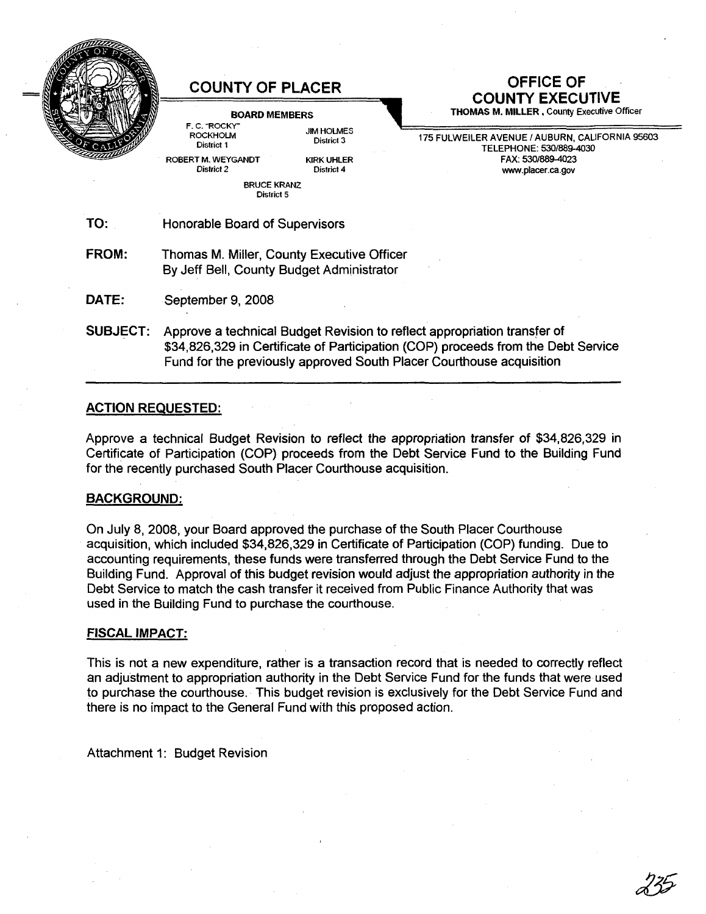

#### BOARD MEMBERS F.C. "ROCKY"

ROCKHOLM District 1 ROBERT M. WEYGANDT District 2

> BRUCE KRANZ District 5

**JIM HOLMES** District 3 KIRK UHLER District 4

**COUNTY OF PLACER OFFICE OF COUNTY EXECUTIVE**

THOMAS M. MILLER. County Executive Officer

175 FULWEILER AVENUE / AUBURN, CALIFORNIA 95603 TELEPHONE: 530/889-4030 FAX: 530/889-4023 www.placer.ca.gov

TO: Honorable Board of Supervisors

FROM: Thomas M. Miller, County Executive Officer By Jeff Bell, County BUdget Administrator

DATE: September 9, 2008

SUBJECT: Approve a technical BUdget Revision to reflect appropriation transfer of \$34,826,329 in Certificate of Participation (COP) proceeds from the Debt Service Fund for the previously approved South Placer Courthouse acquisition

## ACTION REQUESTED:

Approve a technical BUdget Revision to reflect the appropriation transfer of \$34,826,329 in Certificate of Participation (COP) proceeds from the Debt Service Fund to the Building Fund for the recently purchased South Placer Courthouse acquisition.

# BACKGROUND:

On July 8,2008, your Board approved the purchase of the South Placer Courthouse acquisition, which included \$34,826,329 in Certificate of Participation (COP) funding. Due to accounting requirements, these funds were transferred through the Debt Service Fund to the Building Fund. Approval of this bUdget revision would adjust the appropriation authority in the Debt Service to match the cash transfer it received from Public Finance Authority that was used in the Building Fund to purchase the courthouse.

### FISCAL IMPACT:

This is not a new expenditure, rather is a transaction record that is needed to correctly reflect an adjustment to appropriation authority in the Debt Service Fund for the funds that were used to purchase the courthouse. This budget revision is exclusively for the Debt Service Fund and there is no impact to the General Fund with this proposed action.

Attachment 1: Budget Revision